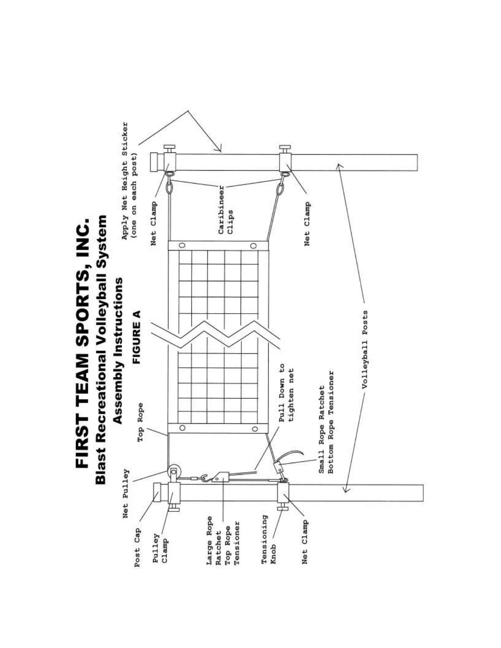# **Blast Recreational Volleyball System** FIRST TEAM SPORTS, INC.

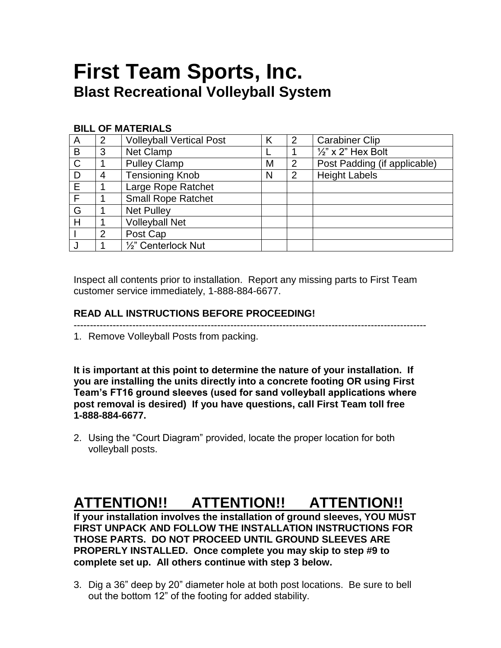### **First Team Sports, Inc. Blast Recreational Volleyball System**

### **BILL OF MATERIALS**

| A            | 2              | <b>Volleyball Vertical Post</b> | K | 2 | <b>Carabiner Clip</b>         |
|--------------|----------------|---------------------------------|---|---|-------------------------------|
| B            | 3              | <b>Net Clamp</b>                |   |   | $\frac{1}{2}$ " x 2" Hex Bolt |
| $\mathsf{C}$ |                | <b>Pulley Clamp</b>             | M | 2 | Post Padding (if applicable)  |
| D            | 4              | <b>Tensioning Knob</b>          | N | 2 | <b>Height Labels</b>          |
| E            |                | Large Rope Ratchet              |   |   |                               |
| F            |                | <b>Small Rope Ratchet</b>       |   |   |                               |
| G            |                | <b>Net Pulley</b>               |   |   |                               |
| Н            |                | <b>Volleyball Net</b>           |   |   |                               |
|              | $\overline{2}$ | Post Cap                        |   |   |                               |
|              |                | 1/2" Centerlock Nut             |   |   |                               |

Inspect all contents prior to installation. Report any missing parts to First Team customer service immediately, 1-888-884-6677.

### **READ ALL INSTRUCTIONS BEFORE PROCEEDING!**

------------------------------------------------------------------------------------------------------------

1. Remove Volleyball Posts from packing.

**It is important at this point to determine the nature of your installation. If you are installing the units directly into a concrete footing OR using First Team's FT16 ground sleeves (used for sand volleyball applications where post removal is desired) If you have questions, call First Team toll free 1-888-884-6677.**

2. Using the "Court Diagram" provided, locate the proper location for both volleyball posts.

### **ATTENTION!! ATTENTION!! ATTENTION!!**

**If your installation involves the installation of ground sleeves, YOU MUST FIRST UNPACK AND FOLLOW THE INSTALLATION INSTRUCTIONS FOR THOSE PARTS. DO NOT PROCEED UNTIL GROUND SLEEVES ARE PROPERLY INSTALLED. Once complete you may skip to step #9 to complete set up. All others continue with step 3 below.**

3. Dig a 36" deep by 20" diameter hole at both post locations. Be sure to bell out the bottom 12" of the footing for added stability.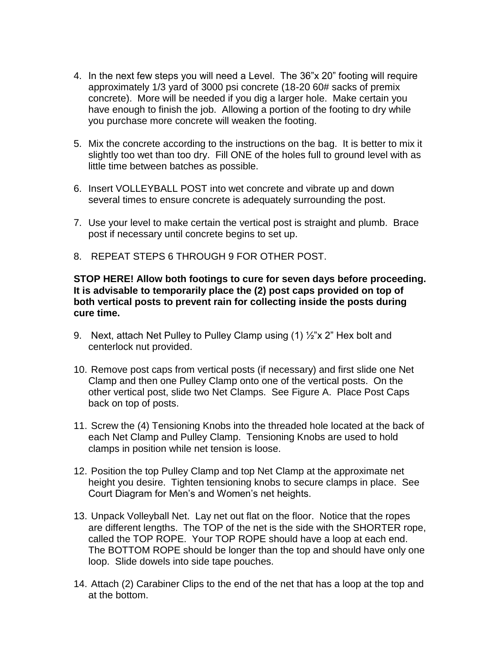- 4. In the next few steps you will need a Level. The 36"x 20" footing will require approximately 1/3 yard of 3000 psi concrete (18-20 60# sacks of premix concrete). More will be needed if you dig a larger hole. Make certain you have enough to finish the job. Allowing a portion of the footing to dry while you purchase more concrete will weaken the footing.
- 5. Mix the concrete according to the instructions on the bag. It is better to mix it slightly too wet than too dry. Fill ONE of the holes full to ground level with as little time between batches as possible.
- 6. Insert VOLLEYBALL POST into wet concrete and vibrate up and down several times to ensure concrete is adequately surrounding the post.
- 7. Use your level to make certain the vertical post is straight and plumb. Brace post if necessary until concrete begins to set up.
- 8. REPEAT STEPS 6 THROUGH 9 FOR OTHER POST.

### **STOP HERE! Allow both footings to cure for seven days before proceeding. It is advisable to temporarily place the (2) post caps provided on top of both vertical posts to prevent rain for collecting inside the posts during cure time.**

- 9. Next, attach Net Pulley to Pulley Clamp using (1) ½"x 2" Hex bolt and centerlock nut provided.
- 10. Remove post caps from vertical posts (if necessary) and first slide one Net Clamp and then one Pulley Clamp onto one of the vertical posts. On the other vertical post, slide two Net Clamps. See Figure A. Place Post Caps back on top of posts.
- 11. Screw the (4) Tensioning Knobs into the threaded hole located at the back of each Net Clamp and Pulley Clamp. Tensioning Knobs are used to hold clamps in position while net tension is loose.
- 12. Position the top Pulley Clamp and top Net Clamp at the approximate net height you desire. Tighten tensioning knobs to secure clamps in place. See Court Diagram for Men's and Women's net heights.
- 13. Unpack Volleyball Net. Lay net out flat on the floor. Notice that the ropes are different lengths. The TOP of the net is the side with the SHORTER rope, called the TOP ROPE. Your TOP ROPE should have a loop at each end. The BOTTOM ROPE should be longer than the top and should have only one loop. Slide dowels into side tape pouches.
- 14. Attach (2) Carabiner Clips to the end of the net that has a loop at the top and at the bottom.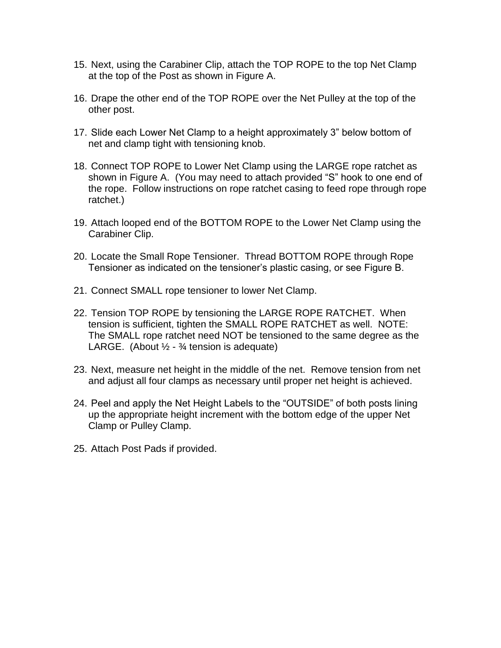- 15. Next, using the Carabiner Clip, attach the TOP ROPE to the top Net Clamp at the top of the Post as shown in Figure A.
- 16. Drape the other end of the TOP ROPE over the Net Pulley at the top of the other post.
- 17. Slide each Lower Net Clamp to a height approximately 3" below bottom of net and clamp tight with tensioning knob.
- 18. Connect TOP ROPE to Lower Net Clamp using the LARGE rope ratchet as shown in Figure A. (You may need to attach provided "S" hook to one end of the rope. Follow instructions on rope ratchet casing to feed rope through rope ratchet.)
- 19. Attach looped end of the BOTTOM ROPE to the Lower Net Clamp using the Carabiner Clip.
- 20. Locate the Small Rope Tensioner. Thread BOTTOM ROPE through Rope Tensioner as indicated on the tensioner's plastic casing, or see Figure B.
- 21. Connect SMALL rope tensioner to lower Net Clamp.
- 22. Tension TOP ROPE by tensioning the LARGE ROPE RATCHET. When tension is sufficient, tighten the SMALL ROPE RATCHET as well. NOTE: The SMALL rope ratchet need NOT be tensioned to the same degree as the LARGE. (About  $\frac{1}{2}$  -  $\frac{3}{4}$  tension is adequate)
- 23. Next, measure net height in the middle of the net. Remove tension from net and adjust all four clamps as necessary until proper net height is achieved.
- 24. Peel and apply the Net Height Labels to the "OUTSIDE" of both posts lining up the appropriate height increment with the bottom edge of the upper Net Clamp or Pulley Clamp.
- 25. Attach Post Pads if provided.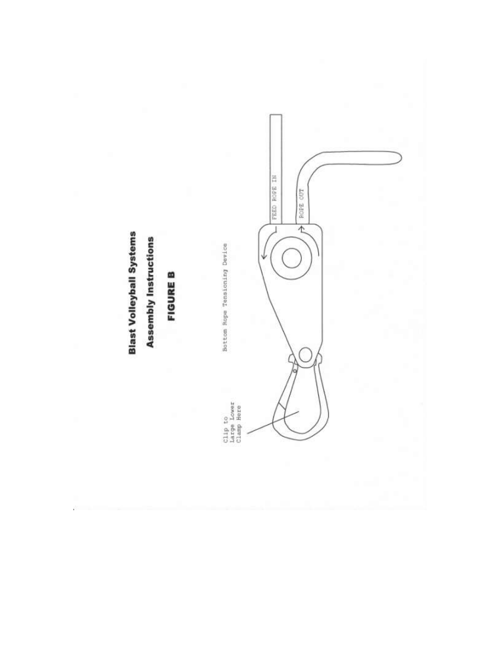## **Blast Volleyball Systems**

### **Assembly Instructions**

### **FIGURE B**

Clip to<br>Large Lower<br>Clamp Here

Bottom Rope Tensioning Device



FEED ROPE IN

ī

**POPE OUT**